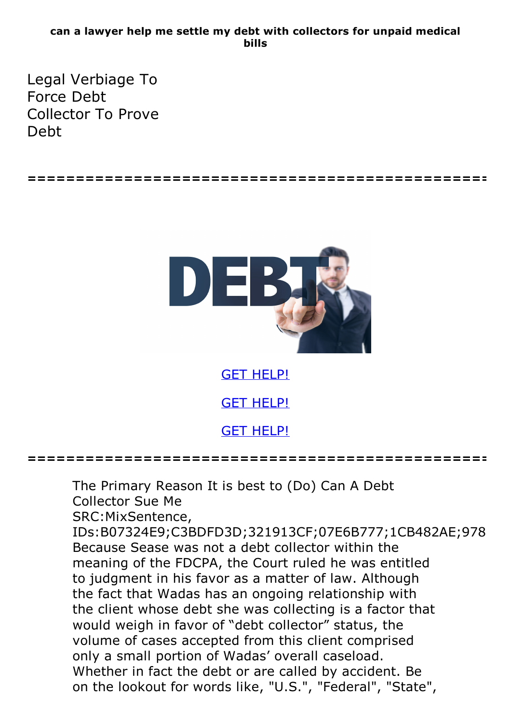## **can a lawyer help me settle my debt with collectors for unpaid medical bills**

Legal Verbiage To Force Debt Collector To Prove Debt





The Primary Reason It is best to (Do) Can A Debt Collector Sue Me SRC:MixSentence, IDs:B07324E9;C3BDFD3D;321913CF;07E6B777;1CB482AE;978 Because Sease was not a debt collector within the meaning of the FDCPA, the Court ruled he was entitled to judgment in his favor as a matter of law. Although the fact that Wadas has an ongoing relationship with the client whose debt she was collecting is a factor that would weigh in favor of "debt collector" status, the volume of cases accepted from this client comprised only <sup>a</sup> small portion of Wadas' overall caseload. Whether in fact the debt or are called by accident. Be on the lookout for words like, "U.S.", "Federal", "State",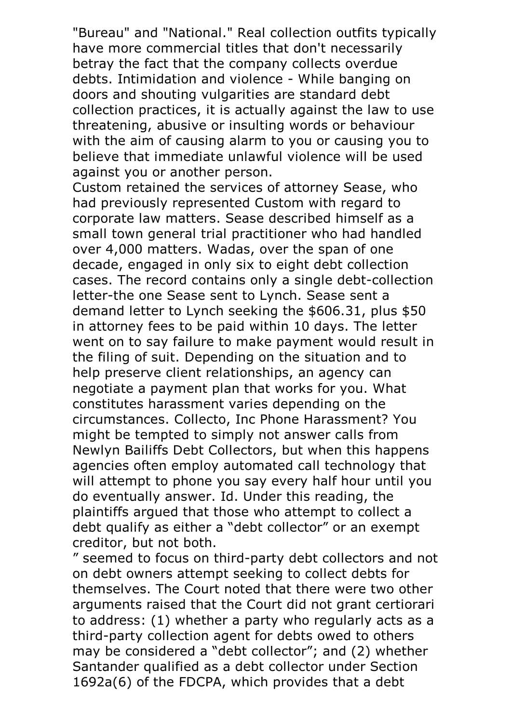"Bureau" and "National." Real collection outfits typically have more commercial titles that don't necessarily betray the fact that the company collects overdue debts. Intimidation and violence - While banging on doors and shouting vulgarities are standard debt collection practices, it is actually against the law to use threatening, abusive or insulting words or behaviour with the aim of causing alarm to you or causing you to believe that immediate unlawful violence will be used against you or another person.<br>Custom retained the services of attorney Sease, who

had previously represented Custom with regard to corporate law matters. Sease described himself as a small town general trial practitioner who had handled over 4,000 matters. Wadas, over the span of one decade, engaged in only six to eight debt collection cases. The record contains only a single debt-collection letter-the one Sease sent to Lynch. Sease sent a demand letter to Lynch seeking the \$606.31, plus \$50 in attorney fees to be paid within 10 days. The letter went on to say failure to make payment would result in the filing of suit. Depending on the situation and to help preserve client relationships, an agency can negotiate a payment plan that works for you. What constitutes harassment varies depending on the circumstances. Collecto, Inc Phone Harassment? You might be tempted to simply not answer calls from Newlyn Bailiffs Debt Collectors, but when this happens agencies often employ automated call technology that will attempt to phone you say every half hour until you do eventually answer. Id. Under this reading, the plaintiffs argued that those who attempt to collect a debt qualify as either a "debt collector" or an exempt creditor, but not both.

" seemed to focus on third-party debt collectors and not on debt owners attempt seeking to collect debts for themselves. The Court noted that there were two other arguments raised that the Court did not grant certiorari to address: (1) whether a party who regularly acts as a third-party collection agent for debts owed to others may be considered a "debt collector"; and (2) whether Santander qualified as a debt collector under Section 1692a(6) of the FDCPA, which provides that a debt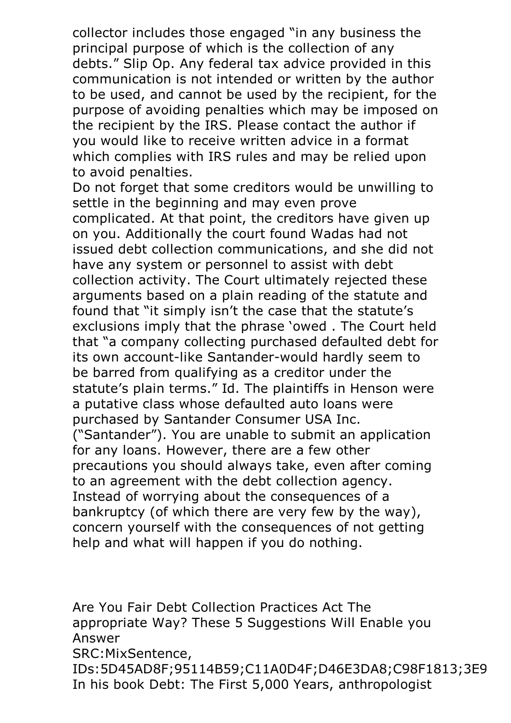collector includes those engaged "in any business the principal purpose of which is the collection of any debts." Slip Op. Any federal tax advice provided in this communication is not intended or written by the author to be used, and cannot be used by the recipient, for the purpose of avoiding penalties which may be imposed on the recipient by the IRS. Please contact the author if you would like to receive written advice in a format which complies with IRS rules and may be relied upon to avoid penalties.<br>Do not forget that some creditors would be unwilling to

settle in the beginning and may even prove complicated. At that point, the creditors have given up on you. Additionally the court found Wadas had not issued debt collection communications, and she did not have any system or personnel to assist with debt collection activity. The Court ultimately rejected these arguments based on a plain reading of the statute and found that "it simply isn't the case that the statute's exclusions imply that the phrase 'owed . The Court held that "a company collecting purchased defaulted debt for its own account-like Santander-would hardly seem to be barred from qualifying as a creditor under the statute's plain terms." Id. The plaintiffs in Henson were a putative class whose defaulted auto loans were purchased by Santander Consumer USA Inc. ("Santander"). You are unable to submit an application for any loans. However, there are a few other precautions you should always take, even after coming to an agreement with the debt collection agency. Instead of worrying about the consequences of a bankruptcy (of which there are very few by the way), concern yourself with the consequences of not getting help and what will happen if you do nothing.

Are You Fair Debt Collection Practices Act The appropriate Way? These 5 Suggestions Will Enable you Answer SRC:MixSentence,<br>IDs:5D45AD8F;95114B59;C11A0D4F;D46E3DA8;C98F1813;3E9 IDs:5D45AD8F;95114B59;C11A0D4F;D46E3DA8;C98F1813;3E9 In his book Debt: The First 5,000 Years, anthropologist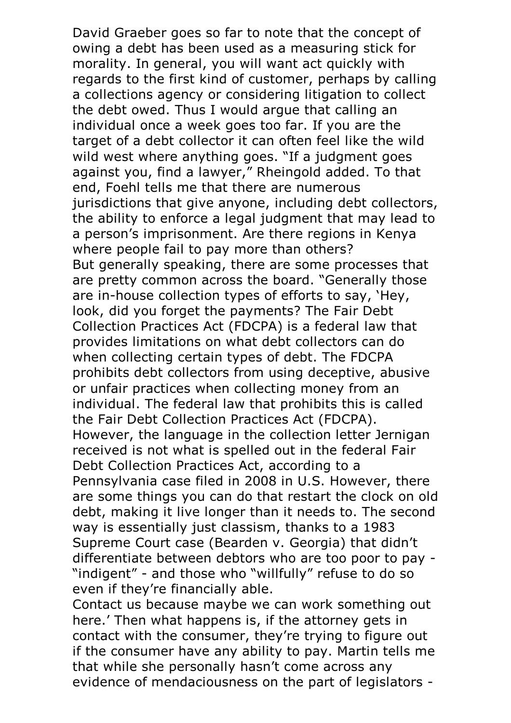David Graeber goes so far to note that the concept of owing a debt has been used as a measuring stick for morality. In general, you will want act quickly with regards to the first kind of customer, perhaps by calling a collections agency or considering litigation to collect the debt owed. Thus I would argue that calling an individual once a week goes too far. If you are the target of a debt collector it can often feel like the wild wild west where anything goes. "If a judgment goes against you, find a lawyer," Rheingold added. To that end, Foehl tells me that there are numerous jurisdictions that give anyone, including debt collectors, the ability to enforce a legal judgment that may lead to a person's imprisonment. Are there regions in Kenya where people fail to pay more than others? But generally speaking, there are some processes that are pretty common across the board. "Generally those are in-house collection types of efforts to say, 'Hey, look, did you forget the payments? The Fair Debt Collection Practices Act (FDCPA) is a federal law that provides limitations on what debt collectors can do when collecting certain types of debt. The FDCPA prohibits debt collectors from using deceptive, abusive or unfair practices when collecting money from an individual. The federal law that prohibits this is called the Fair Debt Collection Practices Act (FDCPA). However, the language in the collection letter Jernigan received is not what is spelled out in the federal Fair Debt Collection Practices Act, according to a Pennsylvania case filed in 2008 in U.S. However, there are some things you can do that restart the clock on old debt, making it live longer than it needs to. The second way is essentially just classism, thanks to a 1983 Supreme Court case (Bearden v. Georgia) that didn't differentiate between debtors who are too poor to pay - "indigent" - and those who "willfully" refuse to do so even if they're financially able. Contact us because maybe we can work something out

here.' Then what happens is, if the attorney gets in contact with the consumer, they're trying to figure out if the consumer have any ability to pay. Martin tells me that while she personally hasn't come across any evidence of mendaciousness on the part of legislators -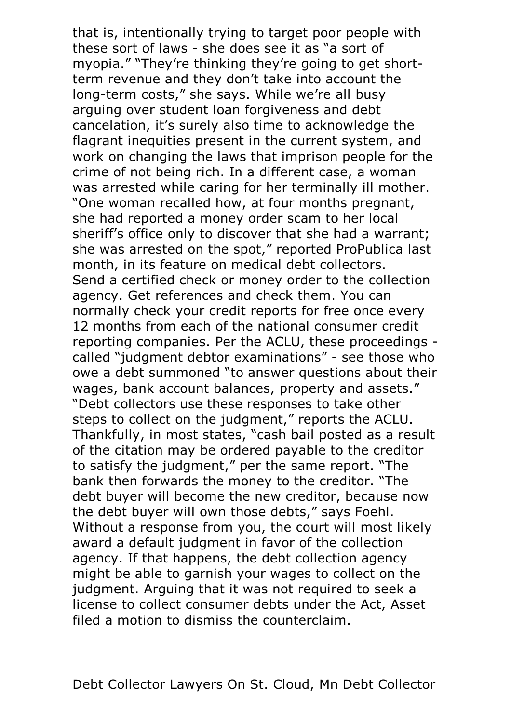that is, intentionally trying to target poor people with these sort of laws - she does see it as "a sort of myopia." "They're thinking they're going to get shortterm revenue and they don't take into account the long-term costs," she says. While we're all busy arguing over student loan forgiveness and debt cancelation, it's surely also time to acknowledge the flagrant inequities present in the current system, and work on changing the laws that imprison people for the crime of not being rich. In a different case, a woman was arrested while caring for her terminally ill mother. "One woman recalled how, at four months pregnant, she had reported a money order scam to her local sheriff's office only to discover that she had a warrant; she was arrested on the spot," reported ProPublica last month, in its feature on medical debt collectors. Send <sup>a</sup> certified check or money order to the collection agency. Get references and check them. You can normally check your credit reports for free once every 12 months from each of the national consumer credit reporting companies. Per the ACLU, these proceedings called "judgment debtor examinations" - see those who owe a debt summoned "to answer questions about their wages, bank account balances, property and assets." "Debt collectors use these responses to take other steps to collect on the judgment," reports the ACLU. Thankfully, in most states, "cash bail posted as <sup>a</sup> result of the citation may be ordered payable to the creditor to satisfy the judgment," per the same report. "The bank then forwards the money to the creditor. "The debt buyer will become the new creditor, because now the debt buyer will own those debts," says Foehl. Without <sup>a</sup> response from you, the court will most likely award a default judgment in favor of the collection agency. If that happens, the debt collection agency might be able to garnish your wages to collect on the judgment. Arguing that it was not required to seek a license to collect consumer debts under the Act, Asset filed a motion to dismiss the counterclaim.